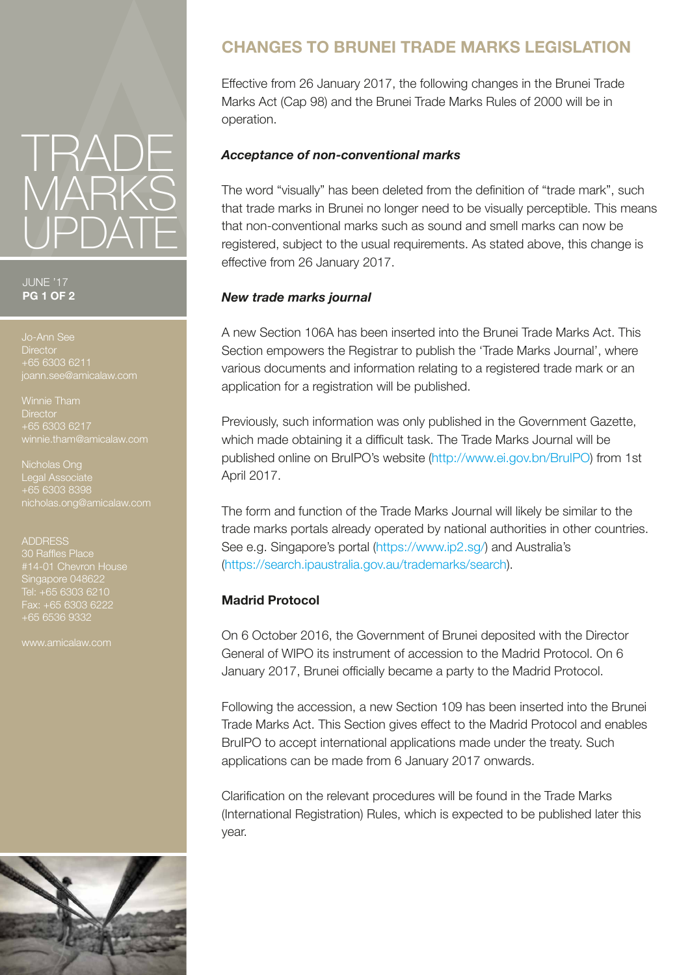

JUNE '17 **PG 1 OF 2**

**Director** +65 6303 6211

Winnie Tham **Director** +65 6303 6217 winnie.tham@amicalaw.com

Nicholas Ong Legal Associate +65 6303 8398

+65 6536 9332

# nicholas.ong@amicalaw.com 30 Raffles Place Singapore 048622 Tel: +65 6303 6210

## **CHANGES TO BRUNEI TRADE MARKS LEGISLATION**

Effective from 26 January 2017, the following changes in the Brunei Trade Marks Act (Cap 98) and the Brunei Trade Marks Rules of 2000 will be in operation.

### *Acceptance of non-conventional marks*

The word "visually" has been deleted from the definition of "trade mark", such that trade marks in Brunei no longer need to be visually perceptible. This means that non-conventional marks such as sound and smell marks can now be registered, subject to the usual requirements. As stated above, this change is effective from 26 January 2017.

### *New trade marks journal*

A new Section 106A has been inserted into the Brunei Trade Marks Act. This Section empowers the Registrar to publish the 'Trade Marks Journal', where various documents and information relating to a registered trade mark or an application for a registration will be published.

Previously, such information was only published in the Government Gazette, which made obtaining it a difficult task. The Trade Marks Journal will be published online on BruIPO's website (http://www.ei.gov.bn/BruIPO) from 1st April 2017.

The form and function of the Trade Marks Journal will likely be similar to the trade marks portals already operated by national authorities in other countries. See e.g. Singapore's portal (https://www.ip2.sg/) and Australia's (https://search.ipaustralia.gov.au/trademarks/search).

#### **Madrid Protocol**

On 6 October 2016, the Government of Brunei deposited with the Director General of WIPO its instrument of accession to the Madrid Protocol. On 6 January 2017, Brunei officially became a party to the Madrid Protocol.

Following the accession, a new Section 109 has been inserted into the Brunei Trade Marks Act. This Section gives effect to the Madrid Protocol and enables BruIPO to accept international applications made under the treaty. Such applications can be made from 6 January 2017 onwards.

Clarification on the relevant procedures will be found in the Trade Marks (International Registration) Rules, which is expected to be published later this year.